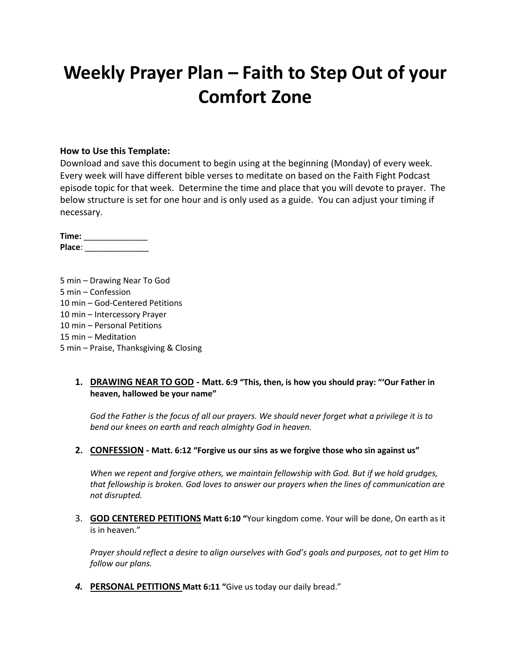# **Weekly Prayer Plan – Faith to Step Out of your Comfort Zone**

#### **How to Use this Template:**

Download and save this document to begin using at the beginning (Monday) of every week. Every week will have different bible verses to meditate on based on the Faith Fight Podcast episode topic for that week. Determine the time and place that you will devote to prayer. The below structure is set for one hour and is only used as a guide. You can adjust your timing if necessary.

**Time:** \_\_\_\_\_\_\_\_\_\_\_\_\_\_ **Place**: \_\_\_\_\_\_\_\_\_\_\_\_\_\_

5 min – Drawing Near To God 5 min – Confession 10 min – God-Centered Petitions 10 min – Intercessory Prayer 10 min – Personal Petitions 15 min – Meditation 5 min – Praise, Thanksgiving & Closing

#### **1. DRAWING NEAR TO GOD - Matt. 6:9 "This, then, is how you should pray: "'Our Father in heaven, hallowed be your name"**

*God the Father is the focus of all our prayers. We should never forget what a privilege it is to bend our knees on earth and reach almighty God in heaven.*

#### **2. CONFESSION - Matt. 6:12 "Forgive us our sins as we forgive those who sin against us"**

*When we repent and forgive others, we maintain fellowship with God. But if we hold grudges, that fellowship is broken. God loves to answer our prayers when the lines of communication are not disrupted.*

3. **GOD CENTERED PETITIONS Matt 6:10 "**Your kingdom come. Your will be done, On earth as it is in heaven."

*Prayer should reflect a desire to align ourselves with God's goals and purposes, not to get Him to follow our plans.*

*4.* **PERSONAL PETITIONS Matt 6:11 "**Give us today our daily bread."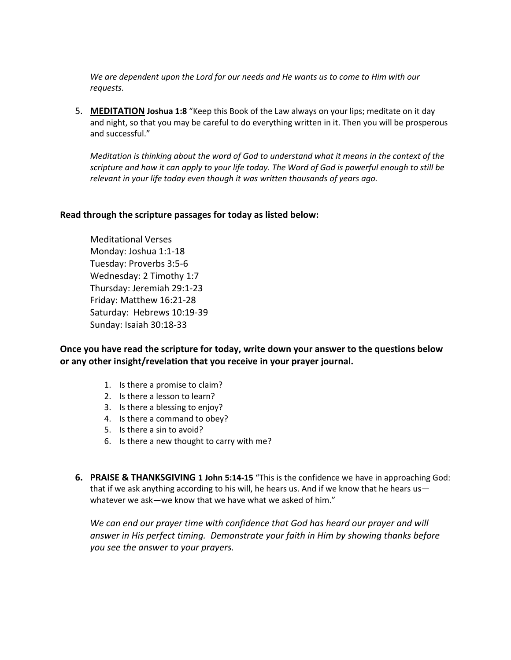*We are dependent upon the Lord for our needs and He wants us to come to Him with our requests.*

5. **MEDITATION Joshua 1:8** "Keep this Book of the Law always on your lips; meditate on it day and night, so that you may be careful to do everything written in it. Then you will be prosperous and successful."

*Meditation is thinking about the word of God to understand what it means in the context of the scripture and how it can apply to your life today. The Word of God is powerful enough to still be relevant in your life today even though it was written thousands of years ago.*

#### **Read through the scripture passages for today as listed below:**

Meditational Verses Monday: Joshua 1:1-18 Tuesday: Proverbs 3:5-6 Wednesday: 2 Timothy 1:7 Thursday: Jeremiah 29:1-23 Friday: Matthew 16:21-28 Saturday: Hebrews 10:19-39 Sunday: Isaiah 30:18-33

**Once you have read the scripture for today, write down your answer to the questions below or any other insight/revelation that you receive in your prayer journal.** 

- 1. Is there a promise to claim?
- 2. Is there a lesson to learn?
- 3. Is there a blessing to enjoy?
- 4. Is there a command to obey?
- 5. Is there a sin to avoid?
- 6. Is there a new thought to carry with me?
- **6. PRAISE & THANKSGIVING 1 John 5:14-15** "This is the confidence we have in approaching God: that if we ask anything according to his will, he hears us. And if we know that he hears us whatever we ask—we know that we have what we asked of him."

*We can end our prayer time with confidence that God has heard our prayer and will answer in His perfect timing. Demonstrate your faith in Him by showing thanks before you see the answer to your prayers.*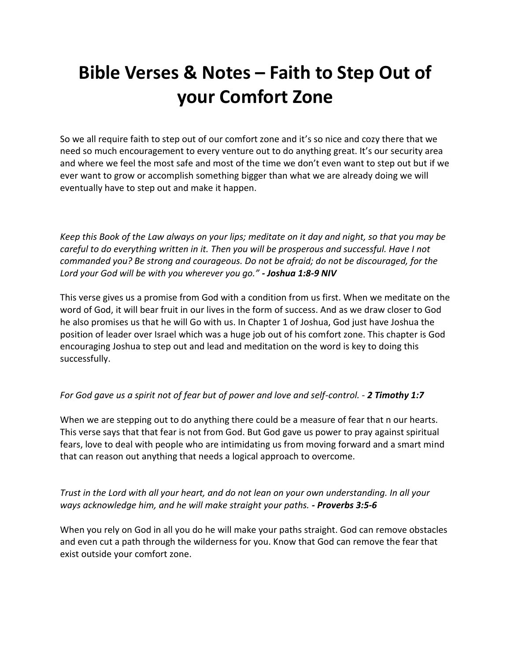# **Bible Verses & Notes – Faith to Step Out of your Comfort Zone**

So we all require faith to step out of our comfort zone and it's so nice and cozy there that we need so much encouragement to every venture out to do anything great. It's our security area and where we feel the most safe and most of the time we don't even want to step out but if we ever want to grow or accomplish something bigger than what we are already doing we will eventually have to step out and make it happen.

*Keep this Book of the Law always on your lips; meditate on it day and night, so that you may be careful to do everything written in it. Then you will be prosperous and successful. Have I not commanded you? Be strong and courageous. Do not be afraid; do not be discouraged, for the Lord your God will be with you wherever you go." - Joshua 1:8-9 NIV*

This verse gives us a promise from God with a condition from us first. When we meditate on the word of God, it will bear fruit in our lives in the form of success. And as we draw closer to God he also promises us that he will Go with us. In Chapter 1 of Joshua, God just have Joshua the position of leader over Israel which was a huge job out of his comfort zone. This chapter is God encouraging Joshua to step out and lead and meditation on the word is key to doing this successfully.

## *For God gave us a spirit not of fear but of power and love and self-control. - 2 Timothy 1:7*

When we are stepping out to do anything there could be a measure of fear that n our hearts. This verse says that that fear is not from God. But God gave us power to pray against spiritual fears, love to deal with people who are intimidating us from moving forward and a smart mind that can reason out anything that needs a logical approach to overcome.

*Trust in the Lord with all your heart, and do not lean on your own understanding. In all your ways acknowledge him, and he will make straight your paths. - Proverbs 3:5-6*

When you rely on God in all you do he will make your paths straight. God can remove obstacles and even cut a path through the wilderness for you. Know that God can remove the fear that exist outside your comfort zone.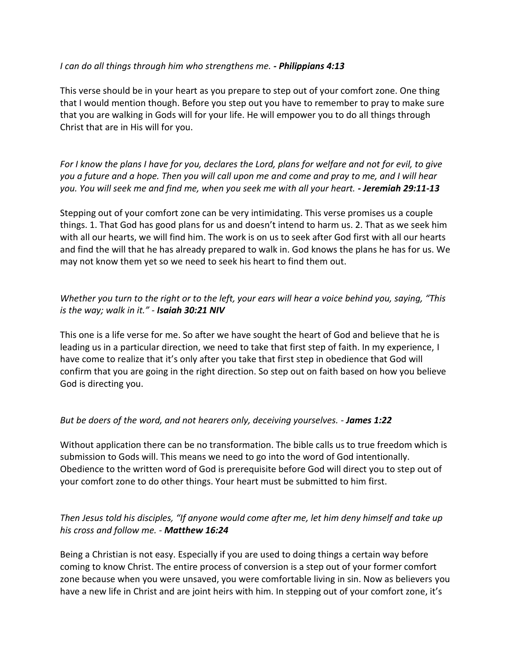### *I can do all things through him who strengthens me. - Philippians 4:13*

This verse should be in your heart as you prepare to step out of your comfort zone. One thing that I would mention though. Before you step out you have to remember to pray to make sure that you are walking in Gods will for your life. He will empower you to do all things through Christ that are in His will for you.

*For I know the plans I have for you, declares the Lord, plans for welfare and not for evil, to give you a future and a hope. Then you will call upon me and come and pray to me, and I will hear you. You will seek me and find me, when you seek me with all your heart. - Jeremiah 29:11-13*

Stepping out of your comfort zone can be very intimidating. This verse promises us a couple things. 1. That God has good plans for us and doesn't intend to harm us. 2. That as we seek him with all our hearts, we will find him. The work is on us to seek after God first with all our hearts and find the will that he has already prepared to walk in. God knows the plans he has for us. We may not know them yet so we need to seek his heart to find them out.

# *Whether you turn to the right or to the left, your ears will hear a voice behind you, saying, "This is the way; walk in it." - Isaiah 30:21 NIV*

This one is a life verse for me. So after we have sought the heart of God and believe that he is leading us in a particular direction, we need to take that first step of faith. In my experience, I have come to realize that it's only after you take that first step in obedience that God will confirm that you are going in the right direction. So step out on faith based on how you believe God is directing you.

## *But be doers of the word, and not hearers only, deceiving yourselves. - James 1:22*

Without application there can be no transformation. The bible calls us to true freedom which is submission to Gods will. This means we need to go into the word of God intentionally. Obedience to the written word of God is prerequisite before God will direct you to step out of your comfort zone to do other things. Your heart must be submitted to him first.

# *Then Jesus told his disciples, "If anyone would come after me, let him deny himself and take up his cross and follow me. - Matthew 16:24*

Being a Christian is not easy. Especially if you are used to doing things a certain way before coming to know Christ. The entire process of conversion is a step out of your former comfort zone because when you were unsaved, you were comfortable living in sin. Now as believers you have a new life in Christ and are joint heirs with him. In stepping out of your comfort zone, it's